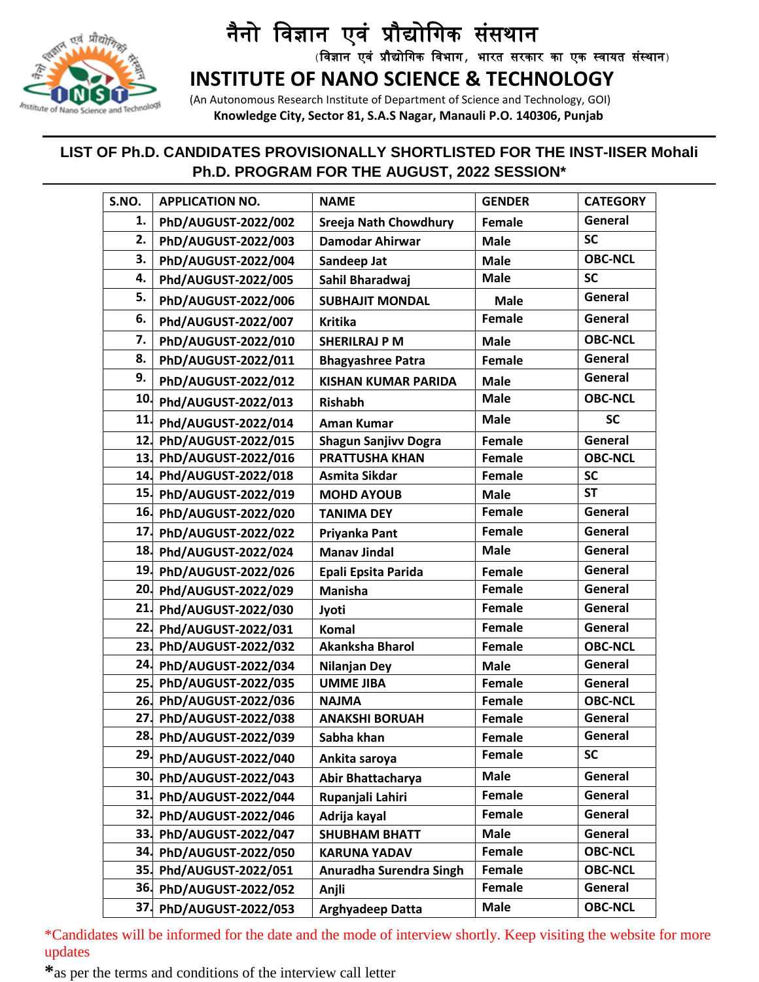

## नैनो विज्ञान एिं प्रौद्योविक संसथान

(विज्ञान एवं प्रौद्योगिक विभाग*,* भारत सरकार का एक स्वायत संस्थान)

## **INSTITUTE OF NANO SCIENCE & TECHNOLOGY**

 (An Autonomous Research Institute of Department of Science and Technology, GOI)  **Knowledge City, Sector 81, S.A.S Nagar, Manauli P.O. 140306, Punjab** 

#### **LIST OF Ph.D. CANDIDATES PROVISIONALLY SHORTLISTED FOR THE INST-IISER Mohali Ph.D. PROGRAM FOR THE AUGUST, 2022 SESSION\***

| S.NO. | <b>APPLICATION NO.</b>  | <b>NAME</b>                 | <b>GENDER</b> | <b>CATEGORY</b> |
|-------|-------------------------|-----------------------------|---------------|-----------------|
| 1.    | PhD/AUGUST-2022/002     | Sreeja Nath Chowdhury       | <b>Female</b> | General         |
| 2.    | PhD/AUGUST-2022/003     | <b>Damodar Ahirwar</b>      | <b>Male</b>   | <b>SC</b>       |
| 3.    | PhD/AUGUST-2022/004     | Sandeep Jat                 | <b>Male</b>   | <b>OBC-NCL</b>  |
| 4.    | Phd/AUGUST-2022/005     | Sahil Bharadwaj             | <b>Male</b>   | <b>SC</b>       |
| 5.    | PhD/AUGUST-2022/006     | <b>SUBHAJIT MONDAL</b>      | <b>Male</b>   | General         |
| 6.    | Phd/AUGUST-2022/007     | <b>Kritika</b>              | <b>Female</b> | General         |
| 7.    | PhD/AUGUST-2022/010     | <b>SHERILRAJ P M</b>        | <b>Male</b>   | <b>OBC-NCL</b>  |
| 8.    | PhD/AUGUST-2022/011     | <b>Bhagyashree Patra</b>    | <b>Female</b> | General         |
| 9.    | PhD/AUGUST-2022/012     | <b>KISHAN KUMAR PARIDA</b>  | <b>Male</b>   | General         |
| 10.   | Phd/AUGUST-2022/013     | <b>Rishabh</b>              | <b>Male</b>   | <b>OBC-NCL</b>  |
| 11.   | Phd/AUGUST-2022/014     | <b>Aman Kumar</b>           | <b>Male</b>   | <b>SC</b>       |
| 12.   | PhD/AUGUST-2022/015     | <b>Shagun Sanjivv Dogra</b> | <b>Female</b> | General         |
| 13.   | PhD/AUGUST-2022/016     | <b>PRATTUSHA KHAN</b>       | <b>Female</b> | <b>OBC-NCL</b>  |
| 14.   | Phd/AUGUST-2022/018     | <b>Asmita Sikdar</b>        | <b>Female</b> | <b>SC</b>       |
|       | 15. PhD/AUGUST-2022/019 | <b>MOHD AYOUB</b>           | <b>Male</b>   | <b>ST</b>       |
|       | 16. PhD/AUGUST-2022/020 | <b>TANIMA DEY</b>           | <b>Female</b> | General         |
| 17.   | PhD/AUGUST-2022/022     | Priyanka Pant               | Female        | General         |
| 18.   | Phd/AUGUST-2022/024     | <b>Manav Jindal</b>         | <b>Male</b>   | General         |
|       | 19. PhD/AUGUST-2022/026 | Epali Epsita Parida         | <b>Female</b> | General         |
| 20.   | Phd/AUGUST-2022/029     | <b>Manisha</b>              | <b>Female</b> | General         |
| 21.   | Phd/AUGUST-2022/030     | Jyoti                       | <b>Female</b> | General         |
| 22.   | Phd/AUGUST-2022/031     | <b>Komal</b>                | <b>Female</b> | General         |
|       | 23. PhD/AUGUST-2022/032 | <b>Akanksha Bharol</b>      | Female        | <b>OBC-NCL</b>  |
| 24.   | PhD/AUGUST-2022/034     | <b>Nilanjan Dey</b>         | <b>Male</b>   | General         |
| 25.   | PhD/AUGUST-2022/035     | <b>UMME JIBA</b>            | <b>Female</b> | General         |
|       | 26. PhD/AUGUST-2022/036 | <b>NAJMA</b>                | Female        | <b>OBC-NCL</b>  |
|       | 27. PhD/AUGUST-2022/038 | <b>ANAKSHI BORUAH</b>       | Female        | General         |
|       | 28. PhD/AUGUST-2022/039 | Sabha khan                  | Female        | General         |
|       | 29 PhD/AUGUST-2022/040  | Ankita saroya               | Female        | <b>SC</b>       |
|       | 30. PhD/AUGUST-2022/043 | Abir Bhattacharya           | <b>Male</b>   | General         |
| 31.   | PhD/AUGUST-2022/044     | Rupanjali Lahiri            | Female        | General         |
| 32.   | PhD/AUGUST-2022/046     | Adrija kayal                | <b>Female</b> | General         |
| 33.   | PhD/AUGUST-2022/047     | <b>SHUBHAM BHATT</b>        | <b>Male</b>   | General         |
| 34.   | PhD/AUGUST-2022/050     | <b>KARUNA YADAV</b>         | Female        | <b>OBC-NCL</b>  |
|       | 35. Phd/AUGUST-2022/051 | Anuradha Surendra Singh     | Female        | <b>OBC-NCL</b>  |
|       | 36. PhD/AUGUST-2022/052 | Anjli                       | Female        | General         |
| 37.   | PhD/AUGUST-2022/053     | <b>Arghyadeep Datta</b>     | <b>Male</b>   | <b>OBC-NCL</b>  |

\*Candidates will be informed for the date and the mode of interview shortly. Keep visiting the website for more updates

**\***as per the terms and conditions of the interview call letter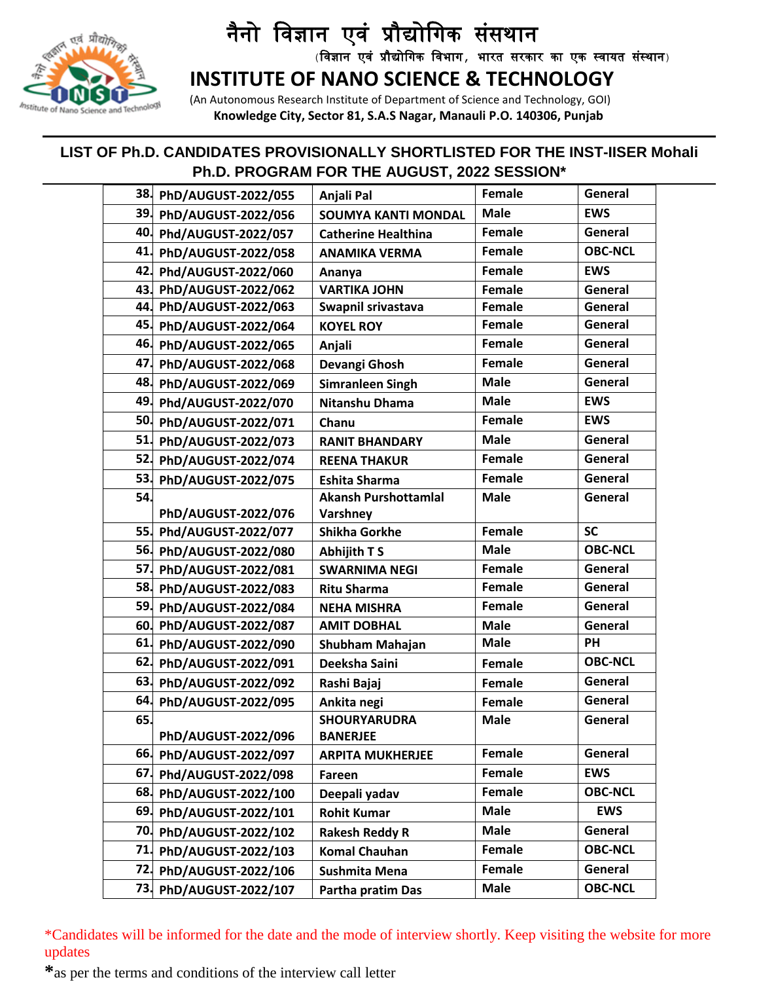

# नैनो विज्ञान एिं प्रौद्योविक संसथान

(विज्ञान एवं प्रौद्योगिक विभाग*,* भारत सरकार का एक स्वायत संस्थान)

### **INSTITUTE OF NANO SCIENCE & TECHNOLOGY**

 (An Autonomous Research Institute of Department of Science and Technology, GOI)  **Knowledge City, Sector 81, S.A.S Nagar, Manauli P.O. 140306, Punjab** 

#### **LIST OF Ph.D. CANDIDATES PROVISIONALLY SHORTLISTED FOR THE INST-IISER Mohali Ph.D. PROGRAM FOR THE AUGUST, 2022 SESSION\***

|     | 38. PhD/AUGUST-2022/055 | Anjali Pal                  | Female        | General        |
|-----|-------------------------|-----------------------------|---------------|----------------|
|     | 39. PhD/AUGUST-2022/056 | <b>SOUMYA KANTI MONDAL</b>  | <b>Male</b>   | <b>EWS</b>     |
|     | 40. Phd/AUGUST-2022/057 | <b>Catherine Healthina</b>  | <b>Female</b> | <b>General</b> |
| 41. | PhD/AUGUST-2022/058     | <b>ANAMIKA VERMA</b>        | Female        | <b>OBC-NCL</b> |
| 42. | Phd/AUGUST-2022/060     | Ananya                      | Female        | <b>EWS</b>     |
| 43. | PhD/AUGUST-2022/062     | <b>VARTIKA JOHN</b>         | <b>Female</b> | General        |
| 44. | PhD/AUGUST-2022/063     | Swapnil srivastava          | Female        | General        |
|     | 45. PhD/AUGUST-2022/064 | <b>KOYEL ROY</b>            | Female        | General        |
|     | 46. PhD/AUGUST-2022/065 | Anjali                      | <b>Female</b> | General        |
| 47. | PhD/AUGUST-2022/068     | Devangi Ghosh               | <b>Female</b> | General        |
|     | 48. PhD/AUGUST-2022/069 | <b>Simranleen Singh</b>     | <b>Male</b>   | General        |
|     | 49. Phd/AUGUST-2022/070 | Nitanshu Dhama              | <b>Male</b>   | <b>EWS</b>     |
| 50. | PhD/AUGUST-2022/071     | Chanu                       | <b>Female</b> | <b>EWS</b>     |
| 51. | PhD/AUGUST-2022/073     | <b>RANIT BHANDARY</b>       | <b>Male</b>   | General        |
|     | 52. PhD/AUGUST-2022/074 | <b>REENA THAKUR</b>         | <b>Female</b> | General        |
| 53. | PhD/AUGUST-2022/075     | <b>Eshita Sharma</b>        | Female        | General        |
| 54. |                         | <b>Akansh Purshottamlal</b> | <b>Male</b>   | General        |
|     | PhD/AUGUST-2022/076     | Varshney                    |               |                |
|     | 55. Phd/AUGUST-2022/077 | <b>Shikha Gorkhe</b>        | <b>Female</b> | <b>SC</b>      |
|     | 56. PhD/AUGUST-2022/080 | <b>Abhijith TS</b>          | <b>Male</b>   | <b>OBC-NCL</b> |
| 57. | PhD/AUGUST-2022/081     | <b>SWARNIMA NEGI</b>        | Female        | General        |
|     | 58. PhD/AUGUST-2022/083 | <b>Ritu Sharma</b>          | Female        | General        |
| 59. | PhD/AUGUST-2022/084     | <b>NEHA MISHRA</b>          | Female        | General        |
|     | 60. PhD/AUGUST-2022/087 | <b>AMIT DOBHAL</b>          | <b>Male</b>   | General        |
| 61. | PhD/AUGUST-2022/090     | <b>Shubham Mahajan</b>      | <b>Male</b>   | <b>PH</b>      |
| 62. | PhD/AUGUST-2022/091     | Deeksha Saini               | <b>Female</b> | <b>OBC-NCL</b> |
| 63. | PhD/AUGUST-2022/092     | Rashi Bajaj                 | Female        | General        |
| 64. | PhD/AUGUST-2022/095     | Ankita negi                 | Female        | General        |
| 65. |                         | <b>SHOURYARUDRA</b>         | <b>Male</b>   | General        |
|     | PhD/AUGUST-2022/096     | <b>BANERJEE</b>             |               |                |
|     | 66. PhD/AUGUST-2022/097 | <b>ARPITA MUKHERJEE</b>     | Female        | General        |
|     | 67. Phd/AUGUST-2022/098 | Fareen                      | Female        | <b>EWS</b>     |
|     | 68. PhD/AUGUST-2022/100 | Deepali yadav               | Female        | <b>OBC-NCL</b> |
|     | 69. PhD/AUGUST-2022/101 | <b>Rohit Kumar</b>          | <b>Male</b>   | <b>EWS</b>     |
|     | 70. PhD/AUGUST-2022/102 | <b>Rakesh Reddy R</b>       | <b>Male</b>   | General        |
| 71. | PhD/AUGUST-2022/103     | <b>Komal Chauhan</b>        | Female        | <b>OBC-NCL</b> |
| 72. | PhD/AUGUST-2022/106     | <b>Sushmita Mena</b>        | Female        | General        |
|     | 73. PhD/AUGUST-2022/107 | Partha pratim Das           | <b>Male</b>   | <b>OBC-NCL</b> |

\*Candidates will be informed for the date and the mode of interview shortly. Keep visiting the website for more updates

**\***as per the terms and conditions of the interview call letter